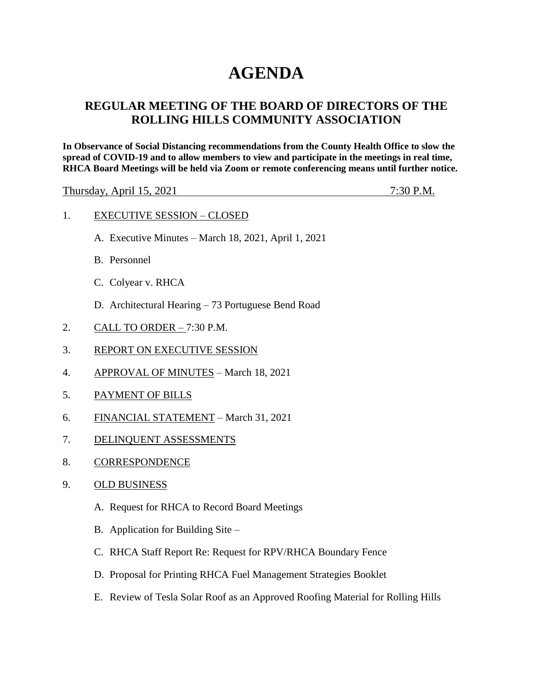## **AGENDA**

## **REGULAR MEETING OF THE BOARD OF DIRECTORS OF THE ROLLING HILLS COMMUNITY ASSOCIATION**

**In Observance of Social Distancing recommendations from the County Health Office to slow the spread of COVID-19 and to allow members to view and participate in the meetings in real time, RHCA Board Meetings will be held via Zoom or remote conferencing means until further notice.** 

Thursday, April 15, 2021 7:30 P.M.

|  | <b>EXECUTIVE SESSION – CLOSED</b> |  |  |
|--|-----------------------------------|--|--|
|--|-----------------------------------|--|--|

- A. Executive Minutes March 18, 2021, April 1, 2021
- B. Personnel
- C. Colyear v. RHCA
- D. Architectural Hearing 73 Portuguese Bend Road
- 2. CALL TO ORDER 7:30 P.M.
- 3. REPORT ON EXECUTIVE SESSION
- 4. APPROVAL OF MINUTES March 18, 2021
- 5. PAYMENT OF BILLS
- 6. FINANCIAL STATEMENT March 31, 2021
- 7. DELINQUENT ASSESSMENTS
- 8. CORRESPONDENCE
- 9. OLD BUSINESS
	- A. Request for RHCA to Record Board Meetings
	- B. Application for Building Site –
	- C. RHCA Staff Report Re: Request for RPV/RHCA Boundary Fence
	- D. Proposal for Printing RHCA Fuel Management Strategies Booklet
	- E. Review of Tesla Solar Roof as an Approved Roofing Material for Rolling Hills